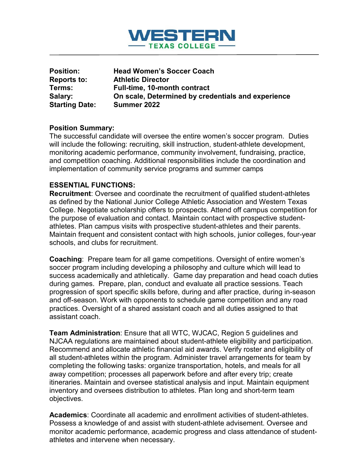

| <b>Position:</b>      | <b>Head Women's Soccer Coach</b>                   |
|-----------------------|----------------------------------------------------|
| Reports to:           | <b>Athletic Director</b>                           |
| Terms:                | <b>Full-time, 10-month contract</b>                |
| Salary:               | On scale, Determined by credentials and experience |
| <b>Starting Date:</b> | Summer 2022                                        |

### **Position Summary:**

The successful candidate will oversee the entire women's soccer program. Duties will include the following: recruiting, skill instruction, student-athlete development, monitoring academic performance, community involvement, fundraising, practice, and competition coaching. Additional responsibilities include the coordination and implementation of community service programs and summer camps

### **ESSENTIAL FUNCTIONS:**

**Recruitment**: Oversee and coordinate the recruitment of qualified student-athletes as defined by the National Junior College Athletic Association and Western Texas College. Negotiate scholarship offers to prospects. Attend off campus competition for the purpose of evaluation and contact. Maintain contact with prospective studentathletes. Plan campus visits with prospective student-athletes and their parents. Maintain frequent and consistent contact with high schools, junior colleges, four-year schools, and clubs for recruitment.

**Coaching**: Prepare team for all game competitions. Oversight of entire women's soccer program including developing a philosophy and culture which will lead to success academically and athletically. Game day preparation and head coach duties during games. Prepare, plan, conduct and evaluate all practice sessions. Teach progression of sport specific skills before, during and after practice, during in-season and off-season. Work with opponents to schedule game competition and any road practices. Oversight of a shared assistant coach and all duties assigned to that assistant coach.

**Team Administration**: Ensure that all WTC, WJCAC, Region 5 guidelines and NJCAA regulations are maintained about student-athlete eligibility and participation. Recommend and allocate athletic financial aid awards. Verify roster and eligibility of all student-athletes within the program. Administer travel arrangements for team by completing the following tasks: organize transportation, hotels, and meals for all away competition; processes all paperwork before and after every trip; create itineraries. Maintain and oversee statistical analysis and input. Maintain equipment inventory and oversees distribution to athletes. Plan long and short-term team objectives.

**Academics**: Coordinate all academic and enrollment activities of student-athletes. Possess a knowledge of and assist with student-athlete advisement. Oversee and monitor academic performance, academic progress and class attendance of studentathletes and intervene when necessary.